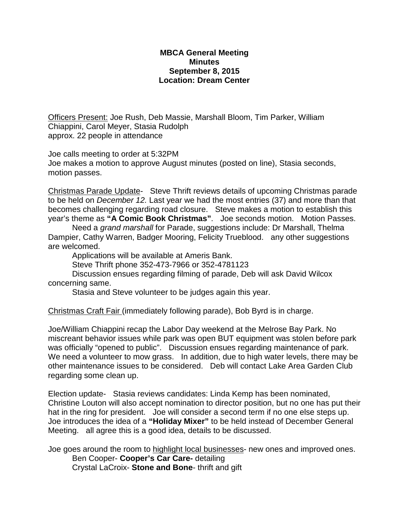## **MBCA General Meeting Minutes September 8, 2015 Location: Dream Center**

Officers Present: Joe Rush, Deb Massie, Marshall Bloom, Tim Parker, William Chiappini, Carol Meyer, Stasia Rudolph approx. 22 people in attendance

Joe calls meeting to order at 5:32PM

Joe makes a motion to approve August minutes (posted on line), Stasia seconds, motion passes.

Christmas Parade Update- Steve Thrift reviews details of upcoming Christmas parade to be held on *December 12.* Last year we had the most entries (37) and more than that becomes challenging regarding road closure. Steve makes a motion to establish this year's theme as **"A Comic Book Christmas"**. Joe seconds motion. Motion Passes.

Need a *grand marshall* for Parade, suggestions include: Dr Marshall, Thelma Dampier, Cathy Warren, Badger Mooring, Felicity Trueblood. any other suggestions are welcomed.

Applications will be available at Ameris Bank.

Steve Thrift phone 352-473-7966 or 352-4781123

Discussion ensues regarding filming of parade, Deb will ask David Wilcox concerning same.

Stasia and Steve volunteer to be judges again this year.

Christmas Craft Fair (immediately following parade), Bob Byrd is in charge.

Joe/William Chiappini recap the Labor Day weekend at the Melrose Bay Park. No miscreant behavior issues while park was open BUT equipment was stolen before park was officially "opened to public". Discussion ensues regarding maintenance of park. We need a volunteer to mow grass. In addition, due to high water levels, there may be other maintenance issues to be considered. Deb will contact Lake Area Garden Club regarding some clean up.

Election update- Stasia reviews candidates: Linda Kemp has been nominated, Christine Louton will also accept nomination to director position, but no one has put their hat in the ring for president. Joe will consider a second term if no one else steps up. Joe introduces the idea of a **"Holiday Mixer"** to be held instead of December General Meeting. all agree this is a good idea, details to be discussed.

Joe goes around the room to highlight local businesses- new ones and improved ones. Ben Cooper- **Cooper's Car Care-** detailing Crystal LaCroix- **Stone and Bone**- thrift and gift